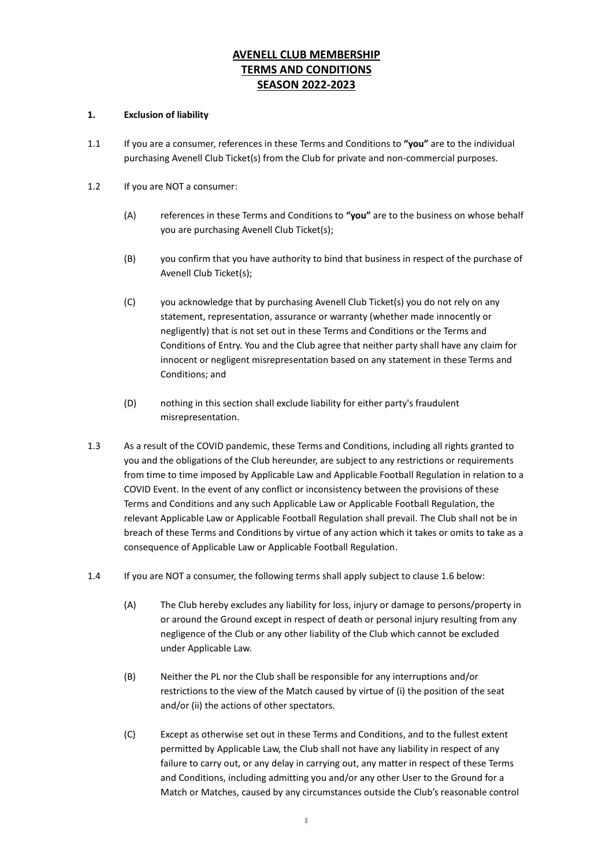# **AVENELL CLUB MEMBERSHIP TERMS AND CONDITIONS SEASON 2022-2023**

### **1. Exclusion of liability**

- 1.1 If you are a consumer, references in these Terms and Conditions to **"you"** are to the individual purchasing Avenell Club Ticket(s) from the Club for private and non-commercial purposes.
- 1.2 If you are NOT a consumer:
	- (A) references in these Terms and Conditions to **"you"** are to the business on whose behalf you are purchasing Avenell Club Ticket(s);
	- (B) you confirm that you have authority to bind that business in respect of the purchase of Avenell Club Ticket(s);
	- (C) you acknowledge that by purchasing Avenell Club Ticket(s) you do not rely on any statement, representation, assurance or warranty (whether made innocently or negligently) that is not set out in these Terms and Conditions or the Terms and Conditions of Entry. You and the Club agree that neither party shall have any claim for innocent or negligent misrepresentation based on any statement in these Terms and Conditions; and
	- (D) nothing in this section shall exclude liability for either party's fraudulent misrepresentation.
- 1.3 As a result of the COVID pandemic, these Terms and Conditions, including all rights granted to you and the obligations of the Club hereunder, are subject to any restrictions or requirements from time to time imposed by Applicable Law and Applicable Football Regulation in relation to a COVID Event. In the event of any conflict or inconsistency between the provisions of these Terms and Conditions and any such Applicable Law or Applicable Football Regulation, the relevant Applicable Law or Applicable Football Regulation shall prevail. The Club shall not be in breach of these Terms and Conditions by virtue of any action which it takes or omits to take as a consequence of Applicable Law or Applicable Football Regulation.
- 1.4 If you are NOT a consumer, the following terms shall apply subject to clause 1.6 below:
	- (A) The Club hereby excludes any liability for loss, injury or damage to persons/property in or around the Ground except in respect of death or personal injury resulting from any negligence of the Club or any other liability of the Club which cannot be excluded under Applicable Law.
	- (B) Neither the PL nor the Club shall be responsible for any interruptions and/or restrictions to the view of the Match caused by virtue of (i) the position of the seat and/or (ii) the actions of other spectators.
	- (C) Except as otherwise set out in these Terms and Conditions, and to the fullest extent permitted by Applicable Law, the Club shall not have any liability in respect of any failure to carry out, or any delay in carrying out, any matter in respect of these Terms and Conditions, including admitting you and/or any other User to the Ground for a Match or Matches, caused by any circumstances outside the Club's reasonable control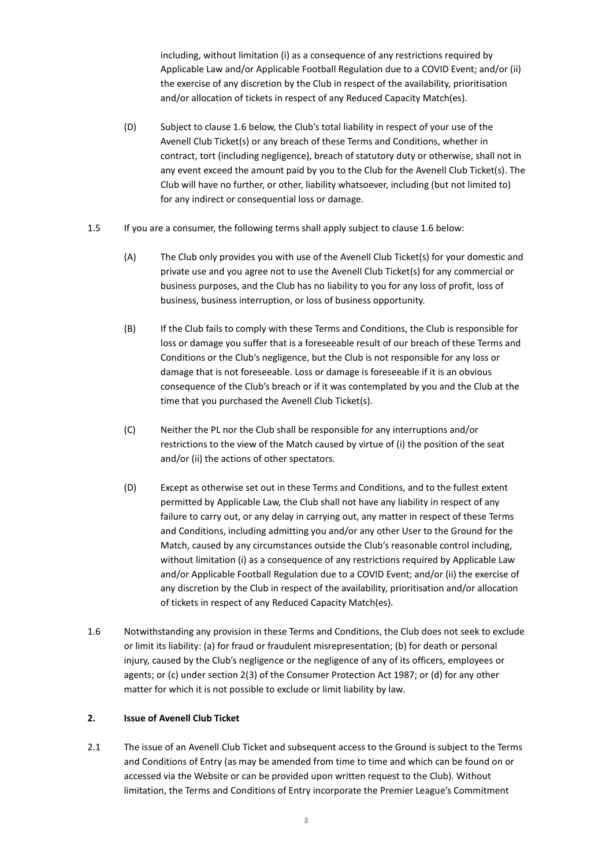including, without limitation (i) as a consequence of any restrictions required by Applicable Law and/or Applicable Football Regulation due to a COVID Event; and/or (ii) the exercise of any discretion by the Club in respect of the availability, prioritisation and/or allocation of tickets in respect of any Reduced Capacity Match(es).

- (D) Subject to clause 1.6 below, the Club's total liability in respect of your use of the Avenell Club Ticket(s) or any breach of these Terms and Conditions, whether in contract, tort (including negligence), breach of statutory duty or otherwise, shall not in any event exceed the amount paid by you to the Club for the Avenell Club Ticket(s). The Club will have no further, or other, liability whatsoever, including (but not limited to) for any indirect or consequential loss or damage.
- 1.5 If you are a consumer, the following terms shall apply subject to clause 1.6 below:
	- (A) The Club only provides you with use of the Avenell Club Ticket(s) for your domestic and private use and you agree not to use the Avenell Club Ticket(s) for any commercial or business purposes, and the Club has no liability to you for any loss of profit, loss of business, business interruption, or loss of business opportunity.
	- (B) If the Club fails to comply with these Terms and Conditions, the Club is responsible for loss or damage you suffer that is a foreseeable result of our breach of these Terms and Conditions or the Club's negligence, but the Club is not responsible for any loss or damage that is not foreseeable. Loss or damage is foreseeable if it is an obvious consequence of the Club's breach or if it was contemplated by you and the Club at the time that you purchased the Avenell Club Ticket(s).
	- (C) Neither the PL nor the Club shall be responsible for any interruptions and/or restrictions to the view of the Match caused by virtue of (i) the position of the seat and/or (ii) the actions of other spectators.
	- (D) Except as otherwise set out in these Terms and Conditions, and to the fullest extent permitted by Applicable Law, the Club shall not have any liability in respect of any failure to carry out, or any delay in carrying out, any matter in respect of these Terms and Conditions, including admitting you and/or any other User to the Ground for the Match, caused by any circumstances outside the Club's reasonable control including, without limitation (i) as a consequence of any restrictions required by Applicable Law and/or Applicable Football Regulation due to a COVID Event; and/or (ii) the exercise of any discretion by the Club in respect of the availability, prioritisation and/or allocation of tickets in respect of any Reduced Capacity Match(es).
- 1.6 Notwithstanding any provision in these Terms and Conditions, the Club does not seek to exclude or limit its liability: (a) for fraud or fraudulent misrepresentation; (b) for death or personal injury, caused by the Club's negligence or the negligence of any of its officers, employees or agents; or (c) under section 2(3) of the Consumer Protection Act 1987; or (d) for any other matter for which it is not possible to exclude or limit liability by law.

# **2. Issue of Avenell Club Ticket**

2.1 The issue of an Avenell Club Ticket and subsequent access to the Ground is subject to the Terms and Conditions of Entry (as may be amended from time to time and which can be found on or accessed via the Website or can be provided upon written request to the Club). Without limitation, the Terms and Conditions of Entry incorporate the Premier League's Commitment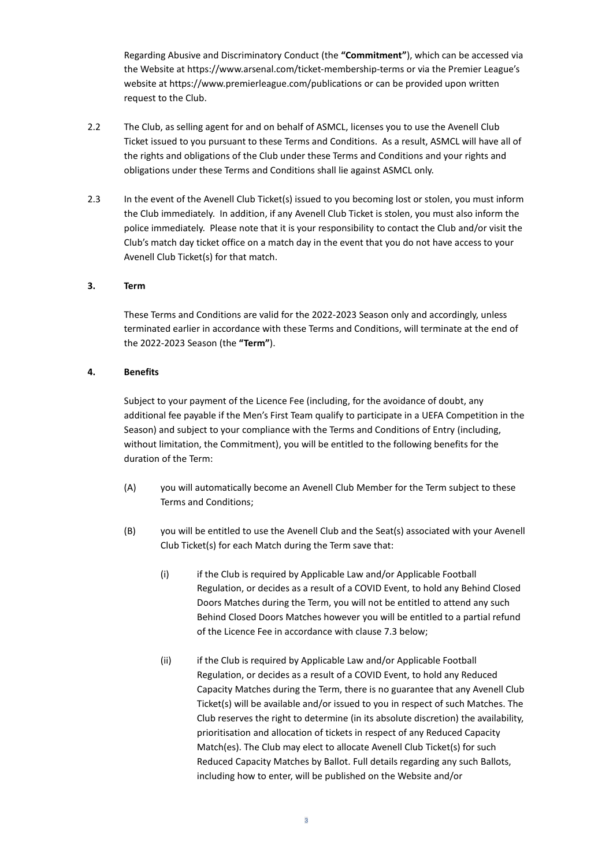Regarding Abusive and Discriminatory Conduct (the **"Commitment"**), which can be accessed via the Website at https://www.arsenal.com/ticket-membership-terms or via the Premier League's website at https://www.premierleague.com/publications or can be provided upon written request to the Club.

- 2.2 The Club, as selling agent for and on behalf of ASMCL, licenses you to use the Avenell Club Ticket issued to you pursuant to these Terms and Conditions. As a result, ASMCL will have all of the rights and obligations of the Club under these Terms and Conditions and your rights and obligations under these Terms and Conditions shall lie against ASMCL only.
- 2.3 In the event of the Avenell Club Ticket(s) issued to you becoming lost or stolen, you must inform the Club immediately. In addition, if any Avenell Club Ticket is stolen, you must also inform the police immediately. Please note that it is your responsibility to contact the Club and/or visit the Club's match day ticket office on a match day in the event that you do not have access to your Avenell Club Ticket(s) for that match.

# **3. Term**

These Terms and Conditions are valid for the 2022-2023 Season only and accordingly, unless terminated earlier in accordance with these Terms and Conditions, will terminate at the end of the 2022-2023 Season (the **"Term"**).

#### **4. Benefits**

Subject to your payment of the Licence Fee (including, for the avoidance of doubt, any additional fee payable if the Men's First Team qualify to participate in a UEFA Competition in the Season) and subject to your compliance with the Terms and Conditions of Entry (including, without limitation, the Commitment), you will be entitled to the following benefits for the duration of the Term:

- (A) you will automatically become an Avenell Club Member for the Term subject to these Terms and Conditions;
- (B) you will be entitled to use the Avenell Club and the Seat(s) associated with your Avenell Club Ticket(s) for each Match during the Term save that:
	- (i) if the Club is required by Applicable Law and/or Applicable Football Regulation, or decides as a result of a COVID Event, to hold any Behind Closed Doors Matches during the Term, you will not be entitled to attend any such Behind Closed Doors Matches however you will be entitled to a partial refund of the Licence Fee in accordance with clause 7.3 below;
	- (ii) if the Club is required by Applicable Law and/or Applicable Football Regulation, or decides as a result of a COVID Event, to hold any Reduced Capacity Matches during the Term, there is no guarantee that any Avenell Club Ticket(s) will be available and/or issued to you in respect of such Matches. The Club reserves the right to determine (in its absolute discretion) the availability, prioritisation and allocation of tickets in respect of any Reduced Capacity Match(es). The Club may elect to allocate Avenell Club Ticket(s) for such Reduced Capacity Matches by Ballot. Full details regarding any such Ballots, including how to enter, will be published on the Website and/or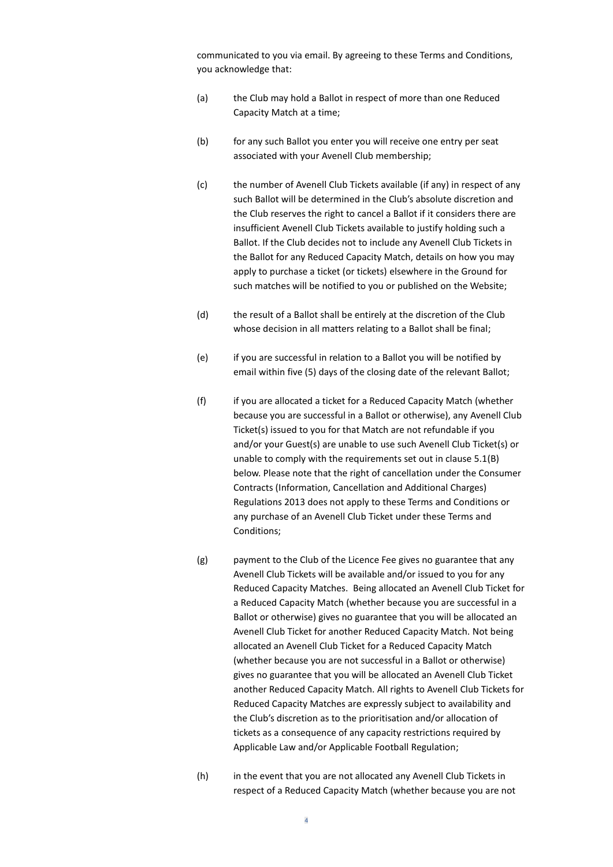communicated to you via email. By agreeing to these Terms and Conditions, you acknowledge that:

- (a) the Club may hold a Ballot in respect of more than one Reduced Capacity Match at a time;
- (b) for any such Ballot you enter you will receive one entry per seat associated with your Avenell Club membership;
- (c) the number of Avenell Club Tickets available (if any) in respect of any such Ballot will be determined in the Club's absolute discretion and the Club reserves the right to cancel a Ballot if it considers there are insufficient Avenell Club Tickets available to justify holding such a Ballot. If the Club decides not to include any Avenell Club Tickets in the Ballot for any Reduced Capacity Match, details on how you may apply to purchase a ticket (or tickets) elsewhere in the Ground for such matches will be notified to you or published on the Website;
- (d) the result of a Ballot shall be entirely at the discretion of the Club whose decision in all matters relating to a Ballot shall be final;
- (e) if you are successful in relation to a Ballot you will be notified by email within five (5) days of the closing date of the relevant Ballot;
- (f) if you are allocated a ticket for a Reduced Capacity Match (whether because you are successful in a Ballot or otherwise), any Avenell Club Ticket(s) issued to you for that Match are not refundable if you and/or your Guest(s) are unable to use such Avenell Club Ticket(s) or unable to comply with the requirements set out in clause 5.1(B) below. Please note that the right of cancellation under the Consumer Contracts (Information, Cancellation and Additional Charges) Regulations 2013 does not apply to these Terms and Conditions or any purchase of an Avenell Club Ticket under these Terms and Conditions;
- (g) payment to the Club of the Licence Fee gives no guarantee that any Avenell Club Tickets will be available and/or issued to you for any Reduced Capacity Matches. Being allocated an Avenell Club Ticket for a Reduced Capacity Match (whether because you are successful in a Ballot or otherwise) gives no guarantee that you will be allocated an Avenell Club Ticket for another Reduced Capacity Match. Not being allocated an Avenell Club Ticket for a Reduced Capacity Match (whether because you are not successful in a Ballot or otherwise) gives no guarantee that you will be allocated an Avenell Club Ticket another Reduced Capacity Match. All rights to Avenell Club Tickets for Reduced Capacity Matches are expressly subject to availability and the Club's discretion as to the prioritisation and/or allocation of tickets as a consequence of any capacity restrictions required by Applicable Law and/or Applicable Football Regulation;
- (h) in the event that you are not allocated any Avenell Club Tickets in respect of a Reduced Capacity Match (whether because you are not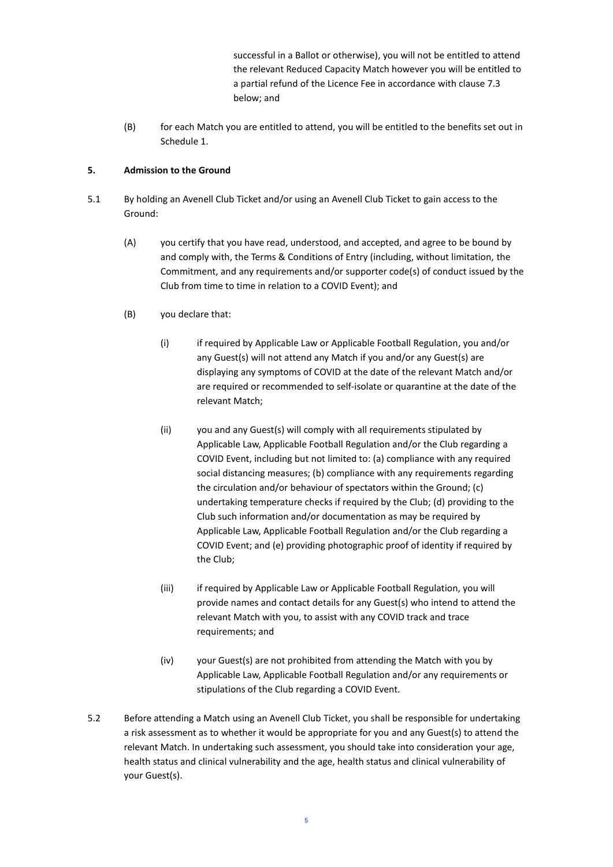successful in a Ballot or otherwise), you will not be entitled to attend the relevant Reduced Capacity Match however you will be entitled to a partial refund of the Licence Fee in accordance with clause 7.3 below; and

(B) for each Match you are entitled to attend, you will be entitled to the benefits set out in Schedule 1.

# **5. Admission to the Ground**

- 5.1 By holding an Avenell Club Ticket and/or using an Avenell Club Ticket to gain access to the Ground:
	- (A) you certify that you have read, understood, and accepted, and agree to be bound by and comply with, the Terms & Conditions of Entry (including, without limitation, the Commitment, and any requirements and/or supporter code(s) of conduct issued by the Club from time to time in relation to a COVID Event); and
	- (B) you declare that:
		- (i) if required by Applicable Law or Applicable Football Regulation, you and/or any Guest(s) will not attend any Match if you and/or any Guest(s) are displaying any symptoms of COVID at the date of the relevant Match and/or are required or recommended to self-isolate or quarantine at the date of the relevant Match;
		- (ii) you and any Guest(s) will comply with all requirements stipulated by Applicable Law, Applicable Football Regulation and/or the Club regarding a COVID Event, including but not limited to: (a) compliance with any required social distancing measures; (b) compliance with any requirements regarding the circulation and/or behaviour of spectators within the Ground; (c) undertaking temperature checks if required by the Club; (d) providing to the Club such information and/or documentation as may be required by Applicable Law, Applicable Football Regulation and/or the Club regarding a COVID Event; and (e) providing photographic proof of identity if required by the Club;
		- (iii) if required by Applicable Law or Applicable Football Regulation, you will provide names and contact details for any Guest(s) who intend to attend the relevant Match with you, to assist with any COVID track and trace requirements; and
		- (iv) your Guest(s) are not prohibited from attending the Match with you by Applicable Law, Applicable Football Regulation and/or any requirements or stipulations of the Club regarding a COVID Event.
- 5.2 Before attending a Match using an Avenell Club Ticket, you shall be responsible for undertaking a risk assessment as to whether it would be appropriate for you and any Guest(s) to attend the relevant Match. In undertaking such assessment, you should take into consideration your age, health status and clinical vulnerability and the age, health status and clinical vulnerability of your Guest(s).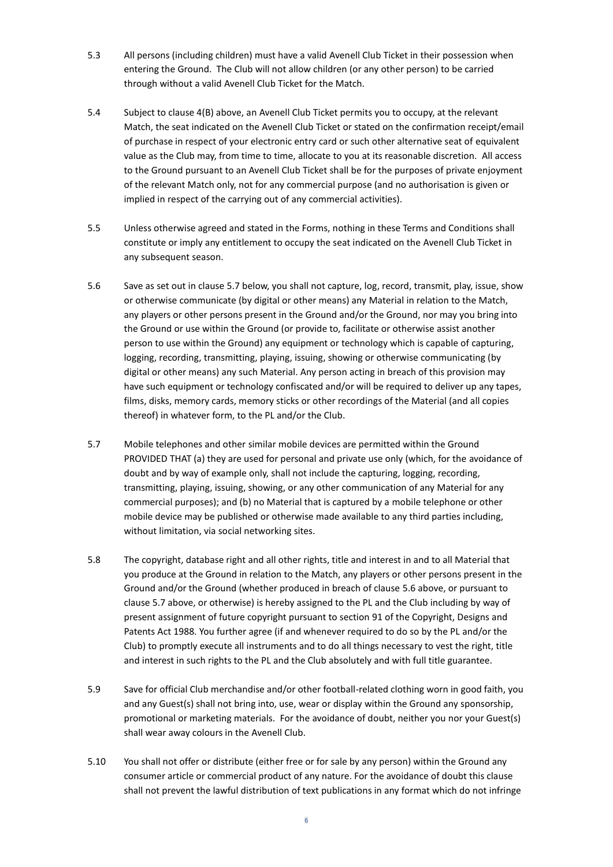- 5.3 All persons (including children) must have a valid Avenell Club Ticket in their possession when entering the Ground. The Club will not allow children (or any other person) to be carried through without a valid Avenell Club Ticket for the Match.
- 5.4 Subject to clause 4(B) above, an Avenell Club Ticket permits you to occupy, at the relevant Match, the seat indicated on the Avenell Club Ticket or stated on the confirmation receipt/email of purchase in respect of your electronic entry card or such other alternative seat of equivalent value as the Club may, from time to time, allocate to you at its reasonable discretion. All access to the Ground pursuant to an Avenell Club Ticket shall be for the purposes of private enjoyment of the relevant Match only, not for any commercial purpose (and no authorisation is given or implied in respect of the carrying out of any commercial activities).
- 5.5 Unless otherwise agreed and stated in the Forms, nothing in these Terms and Conditions shall constitute or imply any entitlement to occupy the seat indicated on the Avenell Club Ticket in any subsequent season.
- 5.6 Save as set out in clause 5.7 below, you shall not capture, log, record, transmit, play, issue, show or otherwise communicate (by digital or other means) any Material in relation to the Match, any players or other persons present in the Ground and/or the Ground, nor may you bring into the Ground or use within the Ground (or provide to, facilitate or otherwise assist another person to use within the Ground) any equipment or technology which is capable of capturing, logging, recording, transmitting, playing, issuing, showing or otherwise communicating (by digital or other means) any such Material. Any person acting in breach of this provision may have such equipment or technology confiscated and/or will be required to deliver up any tapes, films, disks, memory cards, memory sticks or other recordings of the Material (and all copies thereof) in whatever form, to the PL and/or the Club.
- 5.7 Mobile telephones and other similar mobile devices are permitted within the Ground PROVIDED THAT (a) they are used for personal and private use only (which, for the avoidance of doubt and by way of example only, shall not include the capturing, logging, recording, transmitting, playing, issuing, showing, or any other communication of any Material for any commercial purposes); and (b) no Material that is captured by a mobile telephone or other mobile device may be published or otherwise made available to any third parties including, without limitation, via social networking sites.
- 5.8 The copyright, database right and all other rights, title and interest in and to all Material that you produce at the Ground in relation to the Match, any players or other persons present in the Ground and/or the Ground (whether produced in breach of clause 5.6 above, or pursuant to clause 5.7 above, or otherwise) is hereby assigned to the PL and the Club including by way of present assignment of future copyright pursuant to section 91 of the Copyright, Designs and Patents Act 1988. You further agree (if and whenever required to do so by the PL and/or the Club) to promptly execute all instruments and to do all things necessary to vest the right, title and interest in such rights to the PL and the Club absolutely and with full title guarantee.
- 5.9 Save for official Club merchandise and/or other football-related clothing worn in good faith, you and any Guest(s) shall not bring into, use, wear or display within the Ground any sponsorship, promotional or marketing materials. For the avoidance of doubt, neither you nor your Guest(s) shall wear away colours in the Avenell Club.
- 5.10 You shall not offer or distribute (either free or for sale by any person) within the Ground any consumer article or commercial product of any nature. For the avoidance of doubt this clause shall not prevent the lawful distribution of text publications in any format which do not infringe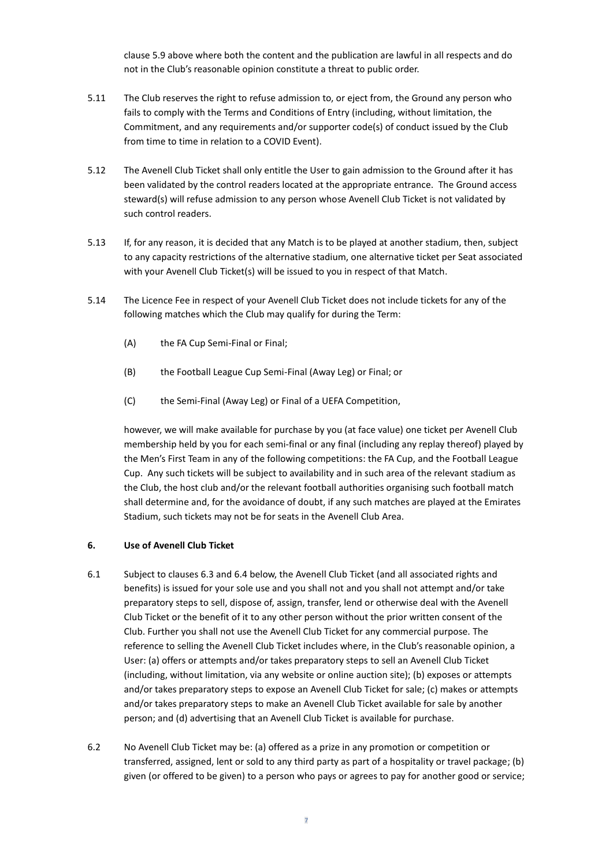clause 5.9 above where both the content and the publication are lawful in all respects and do not in the Club's reasonable opinion constitute a threat to public order.

- 5.11 The Club reserves the right to refuse admission to, or eject from, the Ground any person who fails to comply with the Terms and Conditions of Entry (including, without limitation, the Commitment, and any requirements and/or supporter code(s) of conduct issued by the Club from time to time in relation to a COVID Event).
- 5.12 The Avenell Club Ticket shall only entitle the User to gain admission to the Ground after it has been validated by the control readers located at the appropriate entrance. The Ground access steward(s) will refuse admission to any person whose Avenell Club Ticket is not validated by such control readers.
- 5.13 If, for any reason, it is decided that any Match is to be played at another stadium, then, subject to any capacity restrictions of the alternative stadium, one alternative ticket per Seat associated with your Avenell Club Ticket(s) will be issued to you in respect of that Match.
- 5.14 The Licence Fee in respect of your Avenell Club Ticket does not include tickets for any of the following matches which the Club may qualify for during the Term:
	- (A) the FA Cup Semi-Final or Final;
	- (B) the Football League Cup Semi-Final (Away Leg) or Final; or
	- (C) the Semi-Final (Away Leg) or Final of a UEFA Competition,

however, we will make available for purchase by you (at face value) one ticket per Avenell Club membership held by you for each semi-final or any final (including any replay thereof) played by the Men's First Team in any of the following competitions: the FA Cup, and the Football League Cup. Any such tickets will be subject to availability and in such area of the relevant stadium as the Club, the host club and/or the relevant football authorities organising such football match shall determine and, for the avoidance of doubt, if any such matches are played at the Emirates Stadium, such tickets may not be for seats in the Avenell Club Area.

#### **6. Use of Avenell Club Ticket**

- 6.1 Subject to clauses 6.3 and 6.4 below, the Avenell Club Ticket (and all associated rights and benefits) is issued for your sole use and you shall not and you shall not attempt and/or take preparatory steps to sell, dispose of, assign, transfer, lend or otherwise deal with the Avenell Club Ticket or the benefit of it to any other person without the prior written consent of the Club. Further you shall not use the Avenell Club Ticket for any commercial purpose. The reference to selling the Avenell Club Ticket includes where, in the Club's reasonable opinion, a User: (a) offers or attempts and/or takes preparatory steps to sell an Avenell Club Ticket (including, without limitation, via any website or online auction site); (b) exposes or attempts and/or takes preparatory steps to expose an Avenell Club Ticket for sale; (c) makes or attempts and/or takes preparatory steps to make an Avenell Club Ticket available for sale by another person; and (d) advertising that an Avenell Club Ticket is available for purchase.
- 6.2 No Avenell Club Ticket may be: (a) offered as a prize in any promotion or competition or transferred, assigned, lent or sold to any third party as part of a hospitality or travel package; (b) given (or offered to be given) to a person who pays or agrees to pay for another good or service;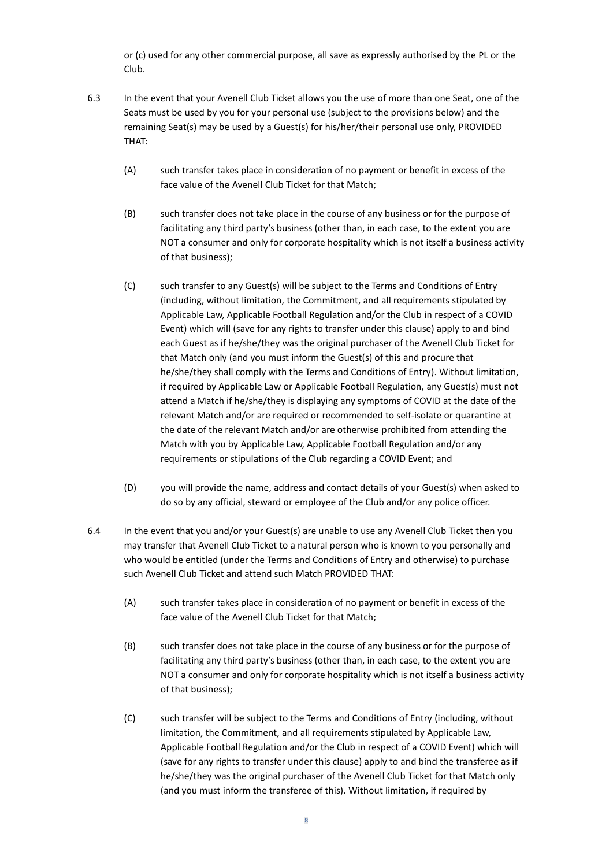or (c) used for any other commercial purpose, all save as expressly authorised by the PL or the Club.

- 6.3 In the event that your Avenell Club Ticket allows you the use of more than one Seat, one of the Seats must be used by you for your personal use (subject to the provisions below) and the remaining Seat(s) may be used by a Guest(s) for his/her/their personal use only, PROVIDED THAT:
	- (A) such transfer takes place in consideration of no payment or benefit in excess of the face value of the Avenell Club Ticket for that Match;
	- (B) such transfer does not take place in the course of any business or for the purpose of facilitating any third party's business (other than, in each case, to the extent you are NOT a consumer and only for corporate hospitality which is not itself a business activity of that business);
	- (C) such transfer to any Guest(s) will be subject to the Terms and Conditions of Entry (including, without limitation, the Commitment, and all requirements stipulated by Applicable Law, Applicable Football Regulation and/or the Club in respect of a COVID Event) which will (save for any rights to transfer under this clause) apply to and bind each Guest as if he/she/they was the original purchaser of the Avenell Club Ticket for that Match only (and you must inform the Guest(s) of this and procure that he/she/they shall comply with the Terms and Conditions of Entry). Without limitation, if required by Applicable Law or Applicable Football Regulation, any Guest(s) must not attend a Match if he/she/they is displaying any symptoms of COVID at the date of the relevant Match and/or are required or recommended to self-isolate or quarantine at the date of the relevant Match and/or are otherwise prohibited from attending the Match with you by Applicable Law, Applicable Football Regulation and/or any requirements or stipulations of the Club regarding a COVID Event; and
	- (D) you will provide the name, address and contact details of your Guest(s) when asked to do so by any official, steward or employee of the Club and/or any police officer.
- 6.4 In the event that you and/or your Guest(s) are unable to use any Avenell Club Ticket then you may transfer that Avenell Club Ticket to a natural person who is known to you personally and who would be entitled (under the Terms and Conditions of Entry and otherwise) to purchase such Avenell Club Ticket and attend such Match PROVIDED THAT:
	- (A) such transfer takes place in consideration of no payment or benefit in excess of the face value of the Avenell Club Ticket for that Match;
	- (B) such transfer does not take place in the course of any business or for the purpose of facilitating any third party's business (other than, in each case, to the extent you are NOT a consumer and only for corporate hospitality which is not itself a business activity of that business);
	- (C) such transfer will be subject to the Terms and Conditions of Entry (including, without limitation, the Commitment, and all requirements stipulated by Applicable Law, Applicable Football Regulation and/or the Club in respect of a COVID Event) which will (save for any rights to transfer under this clause) apply to and bind the transferee as if he/she/they was the original purchaser of the Avenell Club Ticket for that Match only (and you must inform the transferee of this). Without limitation, if required by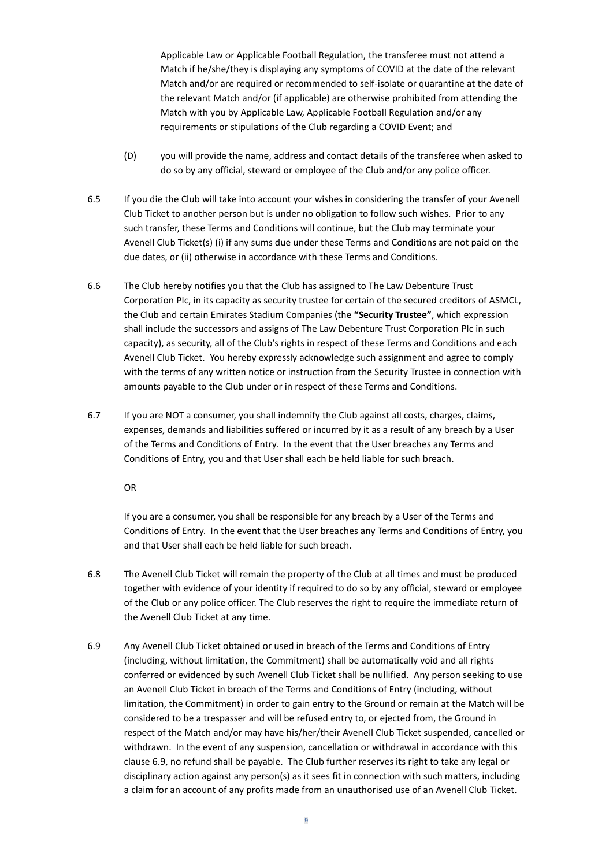Applicable Law or Applicable Football Regulation, the transferee must not attend a Match if he/she/they is displaying any symptoms of COVID at the date of the relevant Match and/or are required or recommended to self-isolate or quarantine at the date of the relevant Match and/or (if applicable) are otherwise prohibited from attending the Match with you by Applicable Law, Applicable Football Regulation and/or any requirements or stipulations of the Club regarding a COVID Event; and

- (D) you will provide the name, address and contact details of the transferee when asked to do so by any official, steward or employee of the Club and/or any police officer.
- 6.5 If you die the Club will take into account your wishes in considering the transfer of your Avenell Club Ticket to another person but is under no obligation to follow such wishes. Prior to any such transfer, these Terms and Conditions will continue, but the Club may terminate your Avenell Club Ticket(s) (i) if any sums due under these Terms and Conditions are not paid on the due dates, or (ii) otherwise in accordance with these Terms and Conditions.
- 6.6 The Club hereby notifies you that the Club has assigned to The Law Debenture Trust Corporation Plc, in its capacity as security trustee for certain of the secured creditors of ASMCL, the Club and certain Emirates Stadium Companies (the **"Security Trustee"**, which expression shall include the successors and assigns of The Law Debenture Trust Corporation Plc in such capacity), as security, all of the Club's rights in respect of these Terms and Conditions and each Avenell Club Ticket. You hereby expressly acknowledge such assignment and agree to comply with the terms of any written notice or instruction from the Security Trustee in connection with amounts payable to the Club under or in respect of these Terms and Conditions.
- 6.7 If you are NOT a consumer, you shall indemnify the Club against all costs, charges, claims, expenses, demands and liabilities suffered or incurred by it as a result of any breach by a User of the Terms and Conditions of Entry. In the event that the User breaches any Terms and Conditions of Entry, you and that User shall each be held liable for such breach.

OR

If you are a consumer, you shall be responsible for any breach by a User of the Terms and Conditions of Entry. In the event that the User breaches any Terms and Conditions of Entry, you and that User shall each be held liable for such breach.

- 6.8 The Avenell Club Ticket will remain the property of the Club at all times and must be produced together with evidence of your identity if required to do so by any official, steward or employee of the Club or any police officer. The Club reserves the right to require the immediate return of the Avenell Club Ticket at any time.
- 6.9 Any Avenell Club Ticket obtained or used in breach of the Terms and Conditions of Entry (including, without limitation, the Commitment) shall be automatically void and all rights conferred or evidenced by such Avenell Club Ticket shall be nullified. Any person seeking to use an Avenell Club Ticket in breach of the Terms and Conditions of Entry (including, without limitation, the Commitment) in order to gain entry to the Ground or remain at the Match will be considered to be a trespasser and will be refused entry to, or ejected from, the Ground in respect of the Match and/or may have his/her/their Avenell Club Ticket suspended, cancelled or withdrawn. In the event of any suspension, cancellation or withdrawal in accordance with this clause 6.9, no refund shall be payable. The Club further reserves its right to take any legal or disciplinary action against any person(s) as it sees fit in connection with such matters, including a claim for an account of any profits made from an unauthorised use of an Avenell Club Ticket.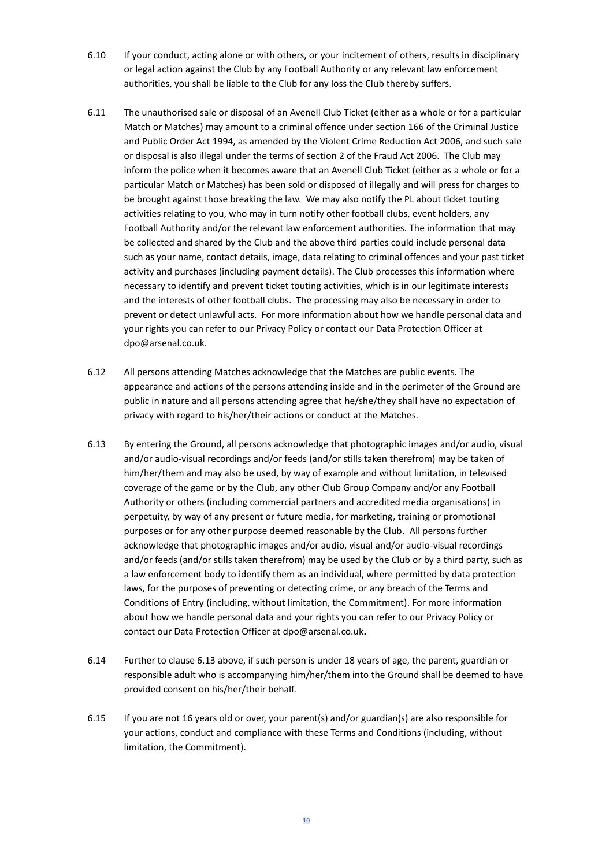- 6.10 If your conduct, acting alone or with others, or your incitement of others, results in disciplinary or legal action against the Club by any Football Authority or any relevant law enforcement authorities, you shall be liable to the Club for any loss the Club thereby suffers.
- 6.11 The unauthorised sale or disposal of an Avenell Club Ticket (either as a whole or for a particular Match or Matches) may amount to a criminal offence under section 166 of the Criminal Justice and Public Order Act 1994, as amended by the Violent Crime Reduction Act 2006, and such sale or disposal is also illegal under the terms of section 2 of the Fraud Act 2006. The Club may inform the police when it becomes aware that an Avenell Club Ticket (either as a whole or for a particular Match or Matches) has been sold or disposed of illegally and will press for charges to be brought against those breaking the law. We may also notify the PL about ticket touting activities relating to you, who may in turn notify other football clubs, event holders, any Football Authority and/or the relevant law enforcement authorities. The information that may be collected and shared by the Club and the above third parties could include personal data such as your name, contact details, image, data relating to criminal offences and your past ticket activity and purchases (including payment details). The Club processes this information where necessary to identify and prevent ticket touting activities, which is in our legitimate interests and the interests of other football clubs. The processing may also be necessary in order to prevent or detect unlawful acts. For more information about how we handle personal data and your rights you can refer to our Privacy Policy or contact our Data Protection Officer at dpo@arsenal.co.uk.
- 6.12 All persons attending Matches acknowledge that the Matches are public events. The appearance and actions of the persons attending inside and in the perimeter of the Ground are public in nature and all persons attending agree that he/she/they shall have no expectation of privacy with regard to his/her/their actions or conduct at the Matches.
- 6.13 By entering the Ground, all persons acknowledge that photographic images and/or audio, visual and/or audio-visual recordings and/or feeds (and/or stills taken therefrom) may be taken of him/her/them and may also be used, by way of example and without limitation, in televised coverage of the game or by the Club, any other Club Group Company and/or any Football Authority or others (including commercial partners and accredited media organisations) in perpetuity, by way of any present or future media, for marketing, training or promotional purposes or for any other purpose deemed reasonable by the Club. All persons further acknowledge that photographic images and/or audio, visual and/or audio-visual recordings and/or feeds (and/or stills taken therefrom) may be used by the Club or by a third party, such as a law enforcement body to identify them as an individual, where permitted by data protection laws, for the purposes of preventing or detecting crime, or any breach of the Terms and Conditions of Entry (including, without limitation, the Commitment). For more information about how we handle personal data and your rights you can refer to our Privacy Policy or contact our Data Protection Officer at dpo@arsenal.co.uk**.**
- 6.14 Further to clause 6.13 above, if such person is under 18 years of age, the parent, guardian or responsible adult who is accompanying him/her/them into the Ground shall be deemed to have provided consent on his/her/their behalf.
- 6.15 If you are not 16 years old or over, your parent(s) and/or guardian(s) are also responsible for your actions, conduct and compliance with these Terms and Conditions (including, without limitation, the Commitment).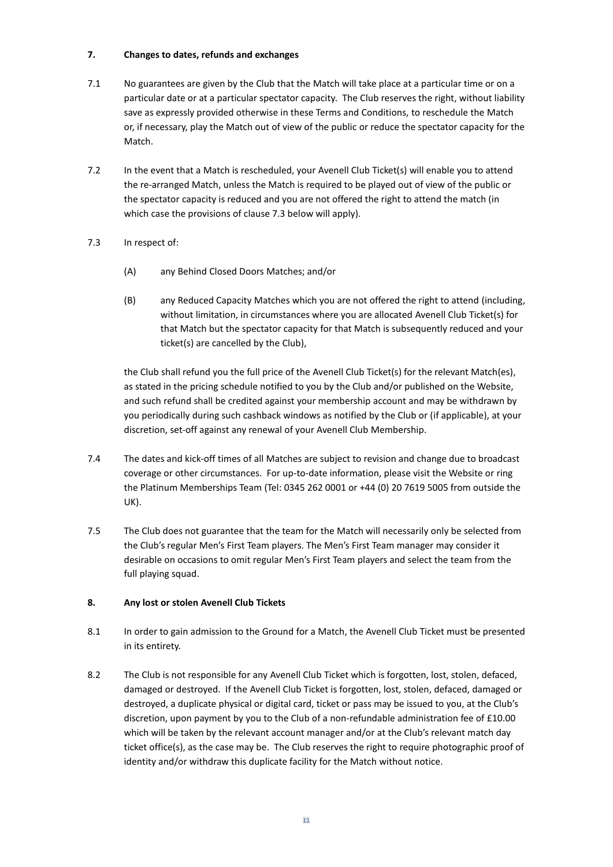# **7. Changes to dates, refunds and exchanges**

- 7.1 No guarantees are given by the Club that the Match will take place at a particular time or on a particular date or at a particular spectator capacity. The Club reserves the right, without liability save as expressly provided otherwise in these Terms and Conditions, to reschedule the Match or, if necessary, play the Match out of view of the public or reduce the spectator capacity for the Match.
- 7.2 In the event that a Match is rescheduled, your Avenell Club Ticket(s) will enable you to attend the re-arranged Match, unless the Match is required to be played out of view of the public or the spectator capacity is reduced and you are not offered the right to attend the match (in which case the provisions of clause 7.3 below will apply).
- 7.3 In respect of:
	- (A) any Behind Closed Doors Matches; and/or
	- (B) any Reduced Capacity Matches which you are not offered the right to attend (including, without limitation, in circumstances where you are allocated Avenell Club Ticket(s) for that Match but the spectator capacity for that Match is subsequently reduced and your ticket(s) are cancelled by the Club),

the Club shall refund you the full price of the Avenell Club Ticket(s) for the relevant Match(es), as stated in the pricing schedule notified to you by the Club and/or published on the Website, and such refund shall be credited against your membership account and may be withdrawn by you periodically during such cashback windows as notified by the Club or (if applicable), at your discretion, set-off against any renewal of your Avenell Club Membership.

- 7.4 The dates and kick-off times of all Matches are subject to revision and change due to broadcast coverage or other circumstances. For up-to-date information, please visit the Website or ring the Platinum Memberships Team (Tel: 0345 262 0001 or +44 (0) 20 7619 5005 from outside the UK).
- 7.5 The Club does not guarantee that the team for the Match will necessarily only be selected from the Club's regular Men's First Team players. The Men's First Team manager may consider it desirable on occasions to omit regular Men's First Team players and select the team from the full playing squad.

# **8. Any lost or stolen Avenell Club Tickets**

- 8.1 In order to gain admission to the Ground for a Match, the Avenell Club Ticket must be presented in its entirety.
- 8.2 The Club is not responsible for any Avenell Club Ticket which is forgotten, lost, stolen, defaced, damaged or destroyed. If the Avenell Club Ticket is forgotten, lost, stolen, defaced, damaged or destroyed, a duplicate physical or digital card, ticket or pass may be issued to you, at the Club's discretion, upon payment by you to the Club of a non-refundable administration fee of £10.00 which will be taken by the relevant account manager and/or at the Club's relevant match day ticket office(s), as the case may be. The Club reserves the right to require photographic proof of identity and/or withdraw this duplicate facility for the Match without notice.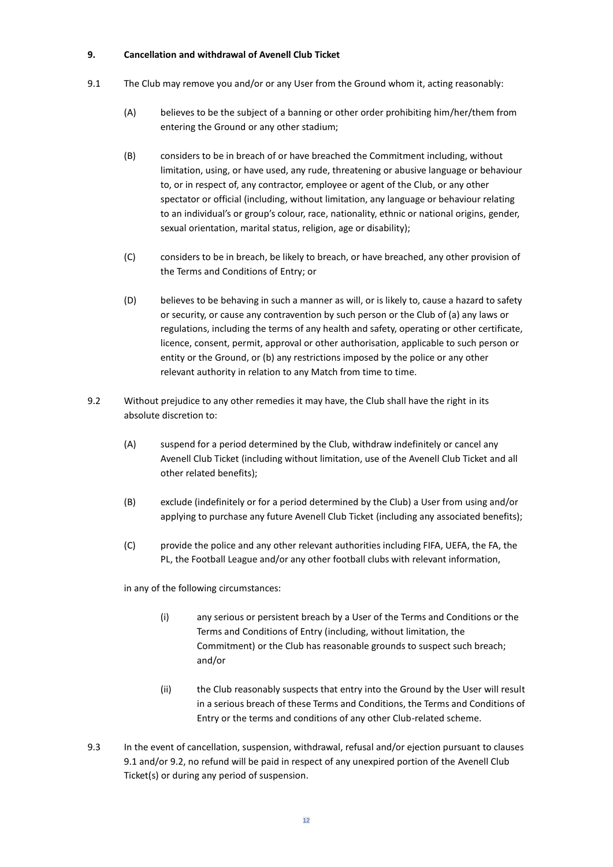#### **9. Cancellation and withdrawal of Avenell Club Ticket**

- 9.1 The Club may remove you and/or or any User from the Ground whom it, acting reasonably:
	- (A) believes to be the subject of a banning or other order prohibiting him/her/them from entering the Ground or any other stadium;
	- (B) considers to be in breach of or have breached the Commitment including, without limitation, using, or have used, any rude, threatening or abusive language or behaviour to, or in respect of, any contractor, employee or agent of the Club, or any other spectator or official (including, without limitation, any language or behaviour relating to an individual's or group's colour, race, nationality, ethnic or national origins, gender, sexual orientation, marital status, religion, age or disability);
	- (C) considers to be in breach, be likely to breach, or have breached, any other provision of the Terms and Conditions of Entry; or
	- (D) believes to be behaving in such a manner as will, or is likely to, cause a hazard to safety or security, or cause any contravention by such person or the Club of (a) any laws or regulations, including the terms of any health and safety, operating or other certificate, licence, consent, permit, approval or other authorisation, applicable to such person or entity or the Ground, or (b) any restrictions imposed by the police or any other relevant authority in relation to any Match from time to time.
- 9.2 Without prejudice to any other remedies it may have, the Club shall have the right in its absolute discretion to:
	- (A) suspend for a period determined by the Club, withdraw indefinitely or cancel any Avenell Club Ticket (including without limitation, use of the Avenell Club Ticket and all other related benefits);
	- (B) exclude (indefinitely or for a period determined by the Club) a User from using and/or applying to purchase any future Avenell Club Ticket (including any associated benefits);
	- (C) provide the police and any other relevant authorities including FIFA, UEFA, the FA, the PL, the Football League and/or any other football clubs with relevant information,

in any of the following circumstances:

- (i) any serious or persistent breach by a User of the Terms and Conditions or the Terms and Conditions of Entry (including, without limitation, the Commitment) or the Club has reasonable grounds to suspect such breach; and/or
- (ii) the Club reasonably suspects that entry into the Ground by the User will result in a serious breach of these Terms and Conditions, the Terms and Conditions of Entry or the terms and conditions of any other Club-related scheme.
- 9.3 In the event of cancellation, suspension, withdrawal, refusal and/or ejection pursuant to clauses 9.1 and/or 9.2, no refund will be paid in respect of any unexpired portion of the Avenell Club Ticket(s) or during any period of suspension.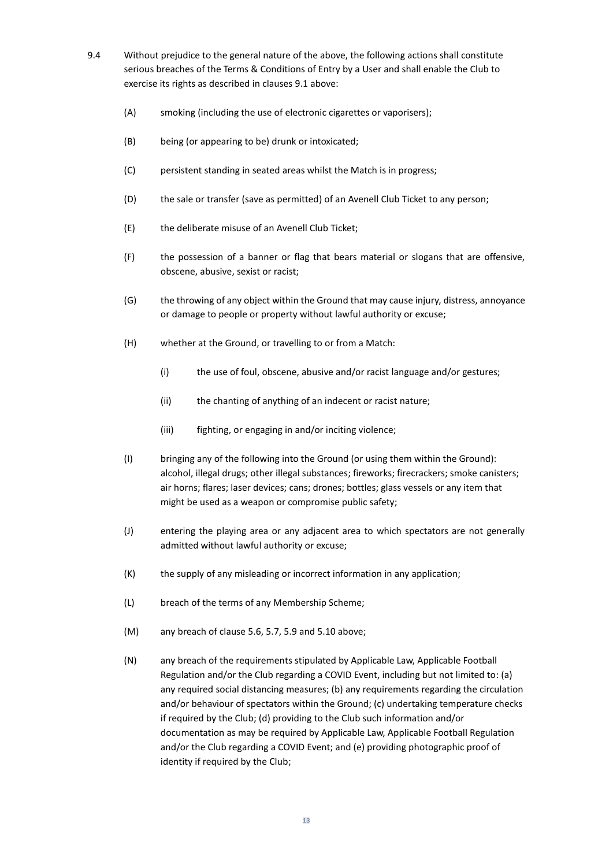- 9.4 Without prejudice to the general nature of the above, the following actions shall constitute serious breaches of the Terms & Conditions of Entry by a User and shall enable the Club to exercise its rights as described in clauses 9.1 above:
	- (A) smoking (including the use of electronic cigarettes or vaporisers);
	- (B) being (or appearing to be) drunk or intoxicated;
	- (C) persistent standing in seated areas whilst the Match is in progress;
	- (D) the sale or transfer (save as permitted) of an Avenell Club Ticket to any person;
	- (E) the deliberate misuse of an Avenell Club Ticket;
	- (F) the possession of a banner or flag that bears material or slogans that are offensive, obscene, abusive, sexist or racist;
	- (G) the throwing of any object within the Ground that may cause injury, distress, annoyance or damage to people or property without lawful authority or excuse;
	- (H) whether at the Ground, or travelling to or from a Match:
		- (i) the use of foul, obscene, abusive and/or racist language and/or gestures;
		- (ii) the chanting of anything of an indecent or racist nature;
		- (iii) fighting, or engaging in and/or inciting violence;
	- (I) bringing any of the following into the Ground (or using them within the Ground): alcohol, illegal drugs; other illegal substances; fireworks; firecrackers; smoke canisters; air horns; flares; laser devices; cans; drones; bottles; glass vessels or any item that might be used as a weapon or compromise public safety;
	- (J) entering the playing area or any adjacent area to which spectators are not generally admitted without lawful authority or excuse;
	- (K) the supply of any misleading or incorrect information in any application;
	- (L) breach of the terms of any Membership Scheme;
	- (M) any breach of clause 5.6, 5.7, 5.9 and 5.10 above;
	- (N) any breach of the requirements stipulated by Applicable Law, Applicable Football Regulation and/or the Club regarding a COVID Event, including but not limited to: (a) any required social distancing measures; (b) any requirements regarding the circulation and/or behaviour of spectators within the Ground; (c) undertaking temperature checks if required by the Club; (d) providing to the Club such information and/or documentation as may be required by Applicable Law, Applicable Football Regulation and/or the Club regarding a COVID Event; and (e) providing photographic proof of identity if required by the Club;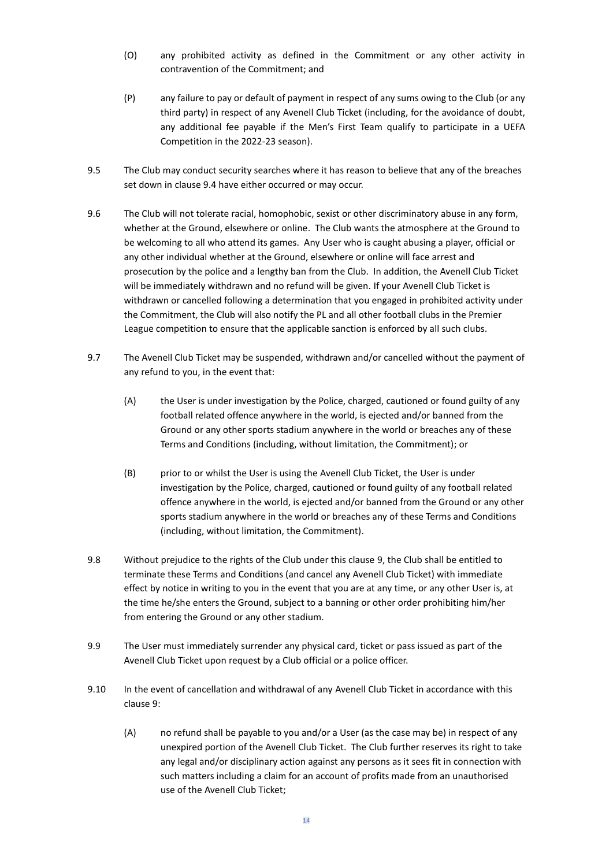- (O) any prohibited activity as defined in the Commitment or any other activity in contravention of the Commitment; and
- (P) any failure to pay or default of payment in respect of any sums owing to the Club (or any third party) in respect of any Avenell Club Ticket (including, for the avoidance of doubt, any additional fee payable if the Men's First Team qualify to participate in a UEFA Competition in the 2022-23 season).
- 9.5 The Club may conduct security searches where it has reason to believe that any of the breaches set down in clause 9.4 have either occurred or may occur.
- 9.6 The Club will not tolerate racial, homophobic, sexist or other discriminatory abuse in any form, whether at the Ground, elsewhere or online. The Club wants the atmosphere at the Ground to be welcoming to all who attend its games. Any User who is caught abusing a player, official or any other individual whether at the Ground, elsewhere or online will face arrest and prosecution by the police and a lengthy ban from the Club. In addition, the Avenell Club Ticket will be immediately withdrawn and no refund will be given. If your Avenell Club Ticket is withdrawn or cancelled following a determination that you engaged in prohibited activity under the Commitment, the Club will also notify the PL and all other football clubs in the Premier League competition to ensure that the applicable sanction is enforced by all such clubs.
- 9.7 The Avenell Club Ticket may be suspended, withdrawn and/or cancelled without the payment of any refund to you, in the event that:
	- (A) the User is under investigation by the Police, charged, cautioned or found guilty of any football related offence anywhere in the world, is ejected and/or banned from the Ground or any other sports stadium anywhere in the world or breaches any of these Terms and Conditions (including, without limitation, the Commitment); or
	- (B) prior to or whilst the User is using the Avenell Club Ticket, the User is under investigation by the Police, charged, cautioned or found guilty of any football related offence anywhere in the world, is ejected and/or banned from the Ground or any other sports stadium anywhere in the world or breaches any of these Terms and Conditions (including, without limitation, the Commitment).
- 9.8 Without prejudice to the rights of the Club under this clause 9, the Club shall be entitled to terminate these Terms and Conditions (and cancel any Avenell Club Ticket) with immediate effect by notice in writing to you in the event that you are at any time, or any other User is, at the time he/she enters the Ground, subject to a banning or other order prohibiting him/her from entering the Ground or any other stadium.
- 9.9 The User must immediately surrender any physical card, ticket or pass issued as part of the Avenell Club Ticket upon request by a Club official or a police officer.
- 9.10 In the event of cancellation and withdrawal of any Avenell Club Ticket in accordance with this clause 9:
	- (A) no refund shall be payable to you and/or a User (as the case may be) in respect of any unexpired portion of the Avenell Club Ticket. The Club further reserves its right to take any legal and/or disciplinary action against any persons as it sees fit in connection with such matters including a claim for an account of profits made from an unauthorised use of the Avenell Club Ticket;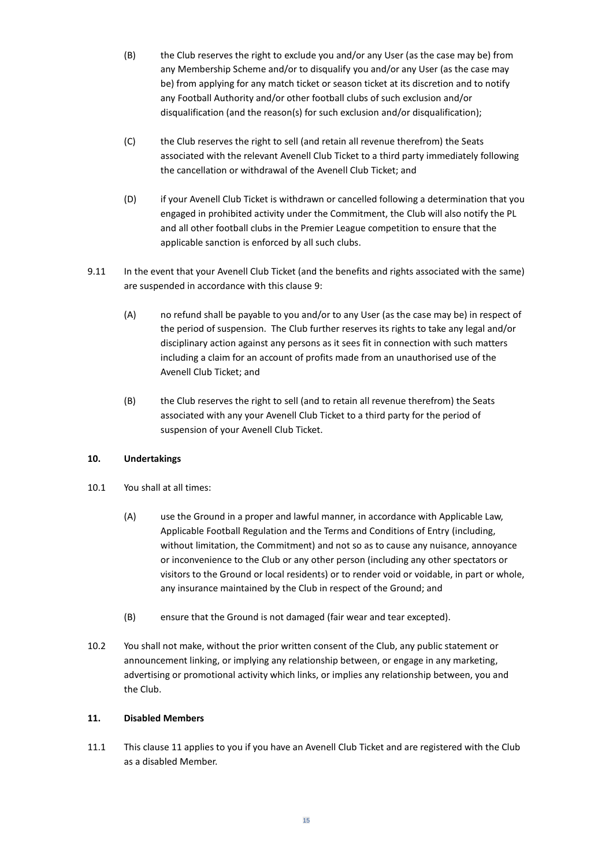- (B) the Club reserves the right to exclude you and/or any User (as the case may be) from any Membership Scheme and/or to disqualify you and/or any User (as the case may be) from applying for any match ticket or season ticket at its discretion and to notify any Football Authority and/or other football clubs of such exclusion and/or disqualification (and the reason(s) for such exclusion and/or disqualification);
- (C) the Club reserves the right to sell (and retain all revenue therefrom) the Seats associated with the relevant Avenell Club Ticket to a third party immediately following the cancellation or withdrawal of the Avenell Club Ticket; and
- (D) if your Avenell Club Ticket is withdrawn or cancelled following a determination that you engaged in prohibited activity under the Commitment, the Club will also notify the PL and all other football clubs in the Premier League competition to ensure that the applicable sanction is enforced by all such clubs.
- 9.11 In the event that your Avenell Club Ticket (and the benefits and rights associated with the same) are suspended in accordance with this clause 9:
	- (A) no refund shall be payable to you and/or to any User (as the case may be) in respect of the period of suspension. The Club further reserves its rights to take any legal and/or disciplinary action against any persons as it sees fit in connection with such matters including a claim for an account of profits made from an unauthorised use of the Avenell Club Ticket; and
	- (B) the Club reserves the right to sell (and to retain all revenue therefrom) the Seats associated with any your Avenell Club Ticket to a third party for the period of suspension of your Avenell Club Ticket.

# **10. Undertakings**

- 10.1 You shall at all times:
	- (A) use the Ground in a proper and lawful manner, in accordance with Applicable Law, Applicable Football Regulation and the Terms and Conditions of Entry (including, without limitation, the Commitment) and not so as to cause any nuisance, annoyance or inconvenience to the Club or any other person (including any other spectators or visitors to the Ground or local residents) or to render void or voidable, in part or whole, any insurance maintained by the Club in respect of the Ground; and
	- (B) ensure that the Ground is not damaged (fair wear and tear excepted).
- 10.2 You shall not make, without the prior written consent of the Club, any public statement or announcement linking, or implying any relationship between, or engage in any marketing, advertising or promotional activity which links, or implies any relationship between, you and the Club.

#### **11. Disabled Members**

11.1 This clause 11 applies to you if you have an Avenell Club Ticket and are registered with the Club as a disabled Member.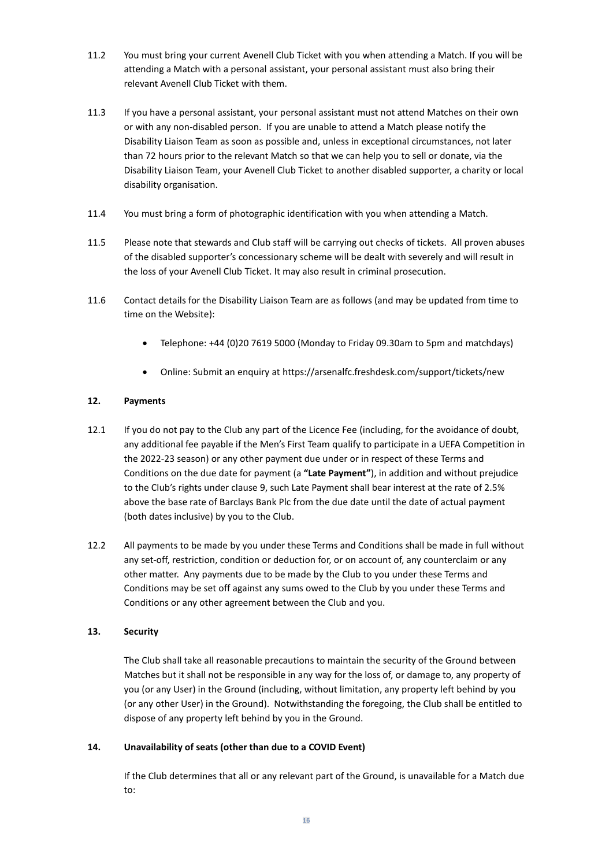- 11.2 You must bring your current Avenell Club Ticket with you when attending a Match. If you will be attending a Match with a personal assistant, your personal assistant must also bring their relevant Avenell Club Ticket with them.
- 11.3 If you have a personal assistant, your personal assistant must not attend Matches on their own or with any non-disabled person. If you are unable to attend a Match please notify the Disability Liaison Team as soon as possible and, unless in exceptional circumstances, not later than 72 hours prior to the relevant Match so that we can help you to sell or donate, via the Disability Liaison Team, your Avenell Club Ticket to another disabled supporter, a charity or local disability organisation.
- 11.4 You must bring a form of photographic identification with you when attending a Match.
- 11.5 Please note that stewards and Club staff will be carrying out checks of tickets. All proven abuses of the disabled supporter's concessionary scheme will be dealt with severely and will result in the loss of your Avenell Club Ticket. It may also result in criminal prosecution.
- 11.6 Contact details for the Disability Liaison Team are as follows (and may be updated from time to time on the Website):
	- Telephone: +44 (0)20 7619 5000 (Monday to Friday 09.30am to 5pm and matchdays)
	- Online: Submit an enquiry a[t https://arsenalfc.freshdesk.com/support/tickets/new](https://arsenalfc.freshdesk.com/support/tickets/new)

#### **12. Payments**

- 12.1 If you do not pay to the Club any part of the Licence Fee (including, for the avoidance of doubt, any additional fee payable if the Men's First Team qualify to participate in a UEFA Competition in the 2022-23 season) or any other payment due under or in respect of these Terms and Conditions on the due date for payment (a **"Late Payment"**), in addition and without prejudice to the Club's rights under clause 9, such Late Payment shall bear interest at the rate of 2.5% above the base rate of Barclays Bank Plc from the due date until the date of actual payment (both dates inclusive) by you to the Club.
- 12.2 All payments to be made by you under these Terms and Conditions shall be made in full without any set-off, restriction, condition or deduction for, or on account of, any counterclaim or any other matter. Any payments due to be made by the Club to you under these Terms and Conditions may be set off against any sums owed to the Club by you under these Terms and Conditions or any other agreement between the Club and you.

#### **13. Security**

The Club shall take all reasonable precautions to maintain the security of the Ground between Matches but it shall not be responsible in any way for the loss of, or damage to, any property of you (or any User) in the Ground (including, without limitation, any property left behind by you (or any other User) in the Ground). Notwithstanding the foregoing, the Club shall be entitled to dispose of any property left behind by you in the Ground.

#### **14. Unavailability of seats (other than due to a COVID Event)**

If the Club determines that all or any relevant part of the Ground, is unavailable for a Match due to: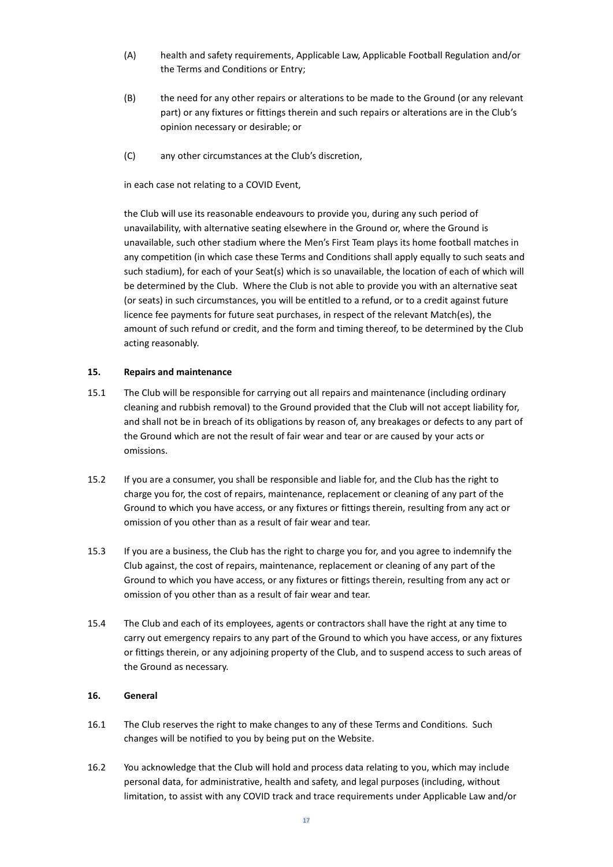- (A) health and safety requirements, Applicable Law, Applicable Football Regulation and/or the Terms and Conditions or Entry;
- (B) the need for any other repairs or alterations to be made to the Ground (or any relevant part) or any fixtures or fittings therein and such repairs or alterations are in the Club's opinion necessary or desirable; or
- (C) any other circumstances at the Club's discretion,

in each case not relating to a COVID Event,

the Club will use its reasonable endeavours to provide you, during any such period of unavailability, with alternative seating elsewhere in the Ground or, where the Ground is unavailable, such other stadium where the Men's First Team plays its home football matches in any competition (in which case these Terms and Conditions shall apply equally to such seats and such stadium), for each of your Seat(s) which is so unavailable, the location of each of which will be determined by the Club. Where the Club is not able to provide you with an alternative seat (or seats) in such circumstances, you will be entitled to a refund, or to a credit against future licence fee payments for future seat purchases, in respect of the relevant Match(es), the amount of such refund or credit, and the form and timing thereof, to be determined by the Club acting reasonably.

# **15. Repairs and maintenance**

- 15.1 The Club will be responsible for carrying out all repairs and maintenance (including ordinary cleaning and rubbish removal) to the Ground provided that the Club will not accept liability for, and shall not be in breach of its obligations by reason of, any breakages or defects to any part of the Ground which are not the result of fair wear and tear or are caused by your acts or omissions.
- 15.2 If you are a consumer, you shall be responsible and liable for, and the Club has the right to charge you for, the cost of repairs, maintenance, replacement or cleaning of any part of the Ground to which you have access, or any fixtures or fittings therein, resulting from any act or omission of you other than as a result of fair wear and tear.
- 15.3 If you are a business, the Club has the right to charge you for, and you agree to indemnify the Club against, the cost of repairs, maintenance, replacement or cleaning of any part of the Ground to which you have access, or any fixtures or fittings therein, resulting from any act or omission of you other than as a result of fair wear and tear.
- 15.4 The Club and each of its employees, agents or contractors shall have the right at any time to carry out emergency repairs to any part of the Ground to which you have access, or any fixtures or fittings therein, or any adjoining property of the Club, and to suspend access to such areas of the Ground as necessary.

# **16. General**

- 16.1 The Club reserves the right to make changes to any of these Terms and Conditions. Such changes will be notified to you by being put on the Website.
- 16.2 You acknowledge that the Club will hold and process data relating to you, which may include personal data, for administrative, health and safety, and legal purposes (including, without limitation, to assist with any COVID track and trace requirements under Applicable Law and/or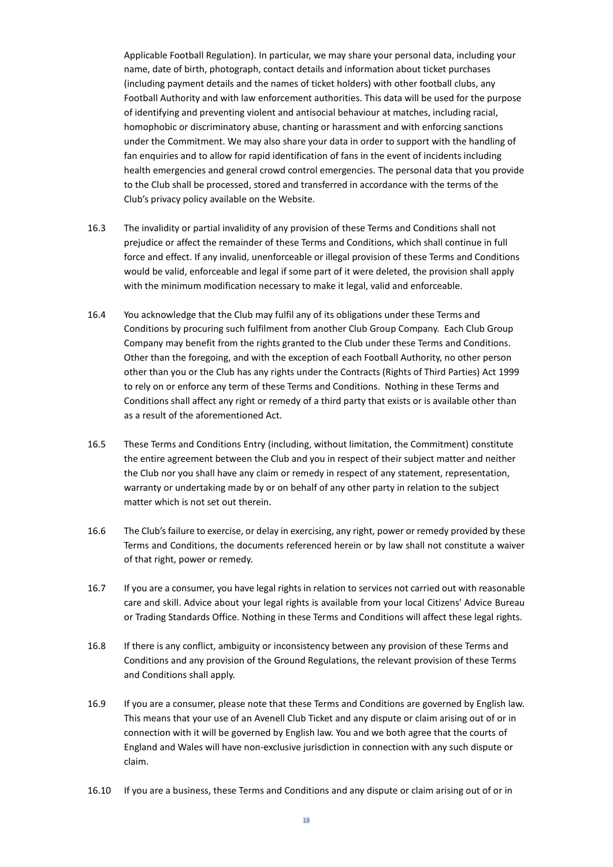Applicable Football Regulation). In particular, we may share your personal data, including your name, date of birth, photograph, contact details and information about ticket purchases (including payment details and the names of ticket holders) with other football clubs, any Football Authority and with law enforcement authorities. This data will be used for the purpose of identifying and preventing violent and antisocial behaviour at matches, including racial, homophobic or discriminatory abuse, chanting or harassment and with enforcing sanctions under the Commitment. We may also share your data in order to support with the handling of fan enquiries and to allow for rapid identification of fans in the event of incidents including health emergencies and general crowd control emergencies. The personal data that you provide to the Club shall be processed, stored and transferred in accordance with the terms of the Club's privacy policy available on the Website.

- 16.3 The invalidity or partial invalidity of any provision of these Terms and Conditions shall not prejudice or affect the remainder of these Terms and Conditions, which shall continue in full force and effect. If any invalid, unenforceable or illegal provision of these Terms and Conditions would be valid, enforceable and legal if some part of it were deleted, the provision shall apply with the minimum modification necessary to make it legal, valid and enforceable.
- 16.4 You acknowledge that the Club may fulfil any of its obligations under these Terms and Conditions by procuring such fulfilment from another Club Group Company. Each Club Group Company may benefit from the rights granted to the Club under these Terms and Conditions. Other than the foregoing, and with the exception of each Football Authority, no other person other than you or the Club has any rights under the Contracts (Rights of Third Parties) Act 1999 to rely on or enforce any term of these Terms and Conditions. Nothing in these Terms and Conditions shall affect any right or remedy of a third party that exists or is available other than as a result of the aforementioned Act.
- 16.5 These Terms and Conditions Entry (including, without limitation, the Commitment) constitute the entire agreement between the Club and you in respect of their subject matter and neither the Club nor you shall have any claim or remedy in respect of any statement, representation, warranty or undertaking made by or on behalf of any other party in relation to the subject matter which is not set out therein.
- 16.6 The Club's failure to exercise, or delay in exercising, any right, power or remedy provided by these Terms and Conditions, the documents referenced herein or by law shall not constitute a waiver of that right, power or remedy.
- 16.7 If you are a consumer, you have legal rights in relation to services not carried out with reasonable care and skill. Advice about your legal rights is available from your local Citizens' Advice Bureau or Trading Standards Office. Nothing in these Terms and Conditions will affect these legal rights.
- 16.8 If there is any conflict, ambiguity or inconsistency between any provision of these Terms and Conditions and any provision of the Ground Regulations, the relevant provision of these Terms and Conditions shall apply.
- 16.9 If you are a consumer, please note that these Terms and Conditions are governed by English law. This means that your use of an Avenell Club Ticket and any dispute or claim arising out of or in connection with it will be governed by English law. You and we both agree that the courts of England and Wales will have non-exclusive jurisdiction in connection with any such dispute or claim.
- 16.10 If you are a business, these Terms and Conditions and any dispute or claim arising out of or in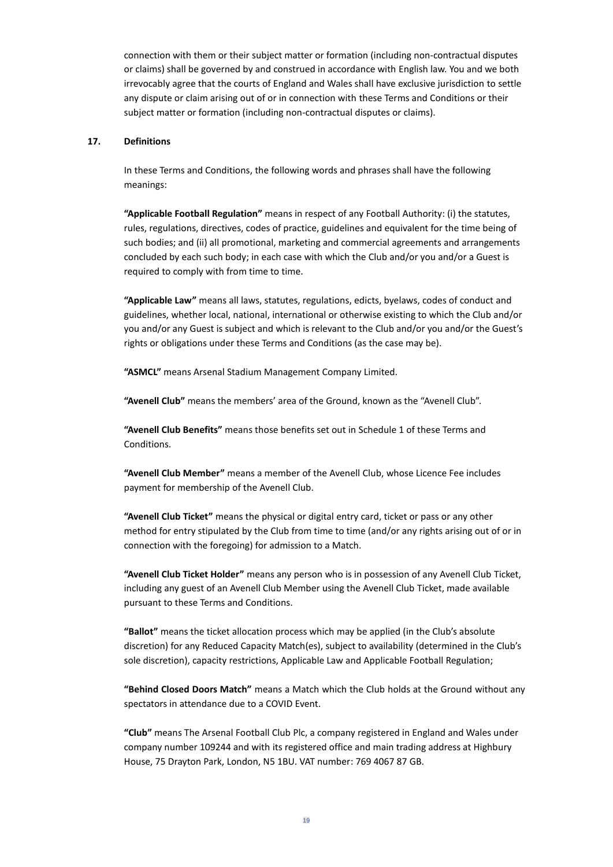connection with them or their subject matter or formation (including non-contractual disputes or claims) shall be governed by and construed in accordance with English law. You and we both irrevocably agree that the courts of England and Wales shall have exclusive jurisdiction to settle any dispute or claim arising out of or in connection with these Terms and Conditions or their subject matter or formation (including non-contractual disputes or claims).

# **17. Definitions**

In these Terms and Conditions, the following words and phrases shall have the following meanings:

**"Applicable Football Regulation"** means in respect of any Football Authority: (i) the statutes, rules, regulations, directives, codes of practice, guidelines and equivalent for the time being of such bodies; and (ii) all promotional, marketing and commercial agreements and arrangements concluded by each such body; in each case with which the Club and/or you and/or a Guest is required to comply with from time to time.

**"Applicable Law"** means all laws, statutes, regulations, edicts, byelaws, codes of conduct and guidelines, whether local, national, international or otherwise existing to which the Club and/or you and/or any Guest is subject and which is relevant to the Club and/or you and/or the Guest's rights or obligations under these Terms and Conditions (as the case may be).

**"ASMCL"** means Arsenal Stadium Management Company Limited.

**"Avenell Club"** means the members' area of the Ground, known as the "Avenell Club".

**"Avenell Club Benefits"** means those benefits set out in Schedule 1 of these Terms and Conditions.

**"Avenell Club Member"** means a member of the Avenell Club, whose Licence Fee includes payment for membership of the Avenell Club.

**"Avenell Club Ticket"** means the physical or digital entry card, ticket or pass or any other method for entry stipulated by the Club from time to time (and/or any rights arising out of or in connection with the foregoing) for admission to a Match.

**"Avenell Club Ticket Holder"** means any person who is in possession of any Avenell Club Ticket, including any guest of an Avenell Club Member using the Avenell Club Ticket, made available pursuant to these Terms and Conditions.

**"Ballot"** means the ticket allocation process which may be applied (in the Club's absolute discretion) for any Reduced Capacity Match(es), subject to availability (determined in the Club's sole discretion), capacity restrictions, Applicable Law and Applicable Football Regulation;

**"Behind Closed Doors Match"** means a Match which the Club holds at the Ground without any spectators in attendance due to a COVID Event.

**"Club"** means The Arsenal Football Club Plc, a company registered in England and Wales under company number 109244 and with its registered office and main trading address at Highbury House, 75 Drayton Park, London, N5 1BU. VAT number: 769 4067 87 GB.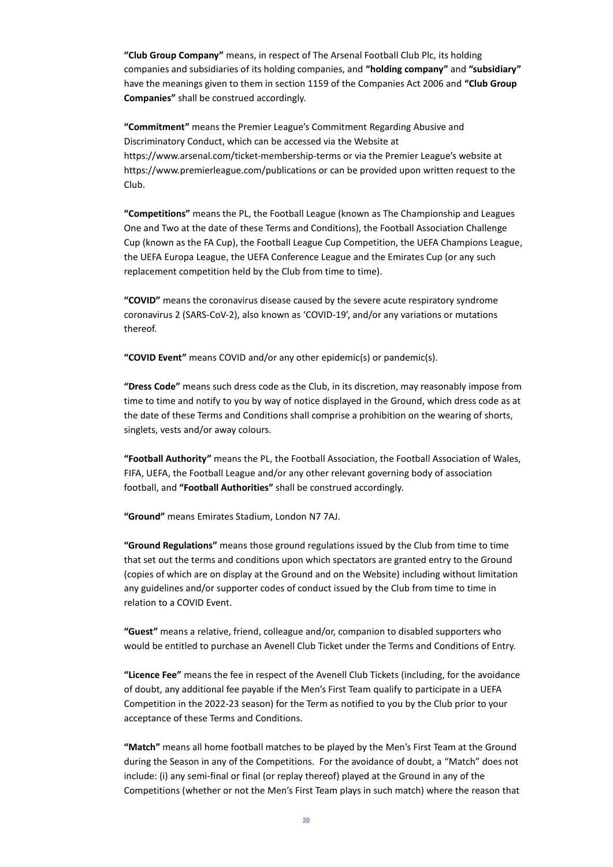**"Club Group Company"** means, in respect of The Arsenal Football Club Plc, its holding companies and subsidiaries of its holding companies, and **"holding company"** and **"subsidiary"** have the meanings given to them in section 1159 of the Companies Act 2006 and **"Club Group Companies"** shall be construed accordingly.

**"Commitment"** means the Premier League's Commitment Regarding Abusive and Discriminatory Conduct, which can be accessed via the Website at <https://www.arsenal.com/ticket-membership-terms> or via the Premier League's website at https://www.premierleague.com/publications or can be provided upon written request to the Club.

**"Competitions"** means the PL, the Football League (known as The Championship and Leagues One and Two at the date of these Terms and Conditions), the Football Association Challenge Cup (known as the FA Cup), the Football League Cup Competition, the UEFA Champions League, the UEFA Europa League, the UEFA Conference League and the Emirates Cup (or any such replacement competition held by the Club from time to time).

**"COVID"** means the coronavirus disease caused by the severe acute respiratory syndrome coronavirus 2 (SARS-CoV-2), also known as 'COVID-19', and/or any variations or mutations thereof.

**"COVID Event"** means COVID and/or any other epidemic(s) or pandemic(s).

**"Dress Code"** means such dress code as the Club, in its discretion, may reasonably impose from time to time and notify to you by way of notice displayed in the Ground, which dress code as at the date of these Terms and Conditions shall comprise a prohibition on the wearing of shorts, singlets, vests and/or away colours.

**"Football Authority"** means the PL, the Football Association, the Football Association of Wales, FIFA, UEFA, the Football League and/or any other relevant governing body of association football, and **"Football Authorities"** shall be construed accordingly.

**"Ground"** means Emirates Stadium, London N7 7AJ.

**"Ground Regulations"** means those ground regulations issued by the Club from time to time that set out the terms and conditions upon which spectators are granted entry to the Ground (copies of which are on display at the Ground and on the Website) including without limitation any guidelines and/or supporter codes of conduct issued by the Club from time to time in relation to a COVID Event.

**"Guest"** means a relative, friend, colleague and/or, companion to disabled supporters who would be entitled to purchase an Avenell Club Ticket under the Terms and Conditions of Entry.

**"Licence Fee"** means the fee in respect of the Avenell Club Tickets (including, for the avoidance of doubt, any additional fee payable if the Men's First Team qualify to participate in a UEFA Competition in the 2022-23 season) for the Term as notified to you by the Club prior to your acceptance of these Terms and Conditions.

**"Match"** means all home football matches to be played by the Men's First Team at the Ground during the Season in any of the Competitions. For the avoidance of doubt, a "Match" does not include: (i) any semi-final or final (or replay thereof) played at the Ground in any of the Competitions (whether or not the Men's First Team plays in such match) where the reason that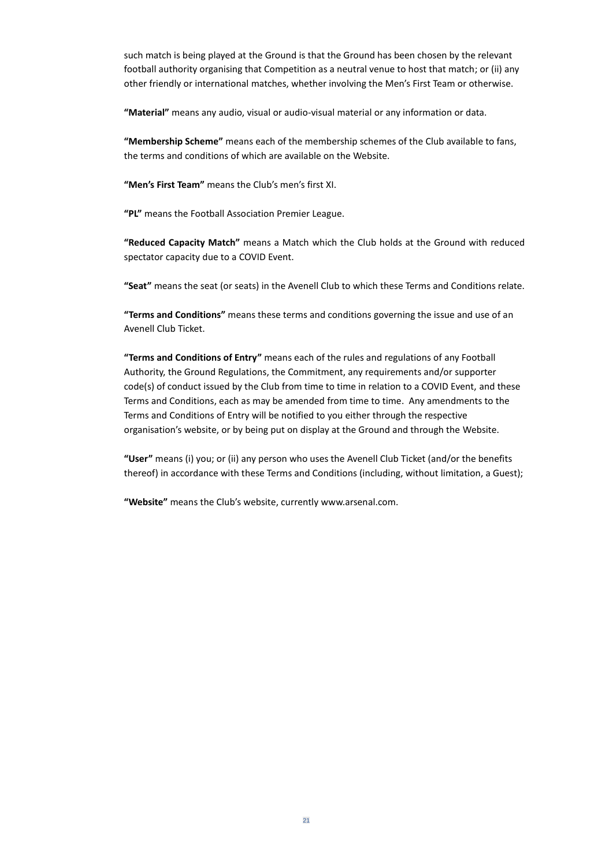such match is being played at the Ground is that the Ground has been chosen by the relevant football authority organising that Competition as a neutral venue to host that match; or (ii) any other friendly or international matches, whether involving the Men's First Team or otherwise.

**"Material"** means any audio, visual or audio-visual material or any information or data.

**"Membership Scheme"** means each of the membership schemes of the Club available to fans, the terms and conditions of which are available on the Website.

**"Men's First Team"** means the Club's men's first XI.

**"PL"** means the Football Association Premier League.

**"Reduced Capacity Match"** means a Match which the Club holds at the Ground with reduced spectator capacity due to a COVID Event.

**"Seat"** means the seat (or seats) in the Avenell Club to which these Terms and Conditions relate.

**"Terms and Conditions"** means these terms and conditions governing the issue and use of an Avenell Club Ticket.

**"Terms and Conditions of Entry"** means each of the rules and regulations of any Football Authority, the Ground Regulations, the Commitment, any requirements and/or supporter code(s) of conduct issued by the Club from time to time in relation to a COVID Event, and these Terms and Conditions, each as may be amended from time to time. Any amendments to the Terms and Conditions of Entry will be notified to you either through the respective organisation's website, or by being put on display at the Ground and through the Website.

**"User"** means (i) you; or (ii) any person who uses the Avenell Club Ticket (and/or the benefits thereof) in accordance with these Terms and Conditions (including, without limitation, a Guest);

**"Website"** means the Club's website, currently [www.arsenal.com.](http://www.arsenal.com/)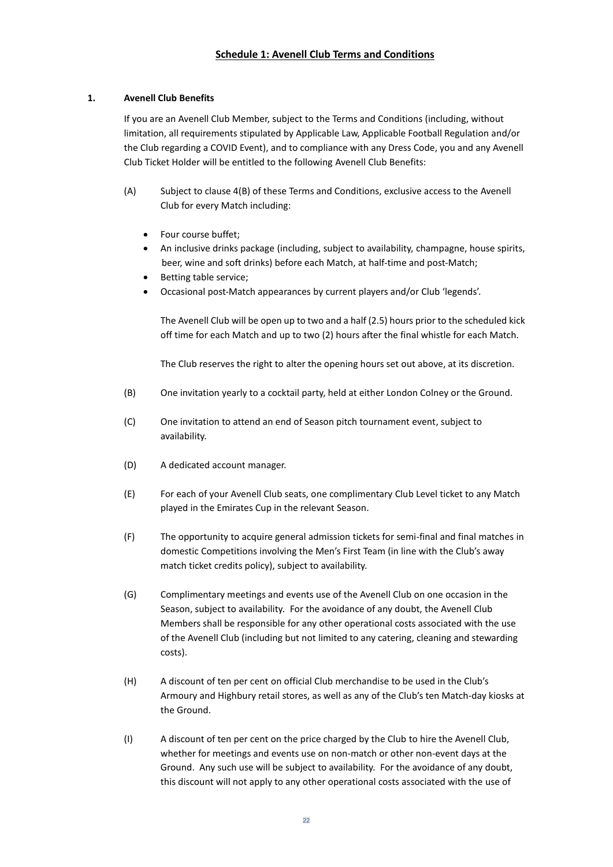# **1. Avenell Club Benefits**

If you are an Avenell Club Member, subject to the Terms and Conditions (including, without limitation, all requirements stipulated by Applicable Law, Applicable Football Regulation and/or the Club regarding a COVID Event), and to compliance with any Dress Code, you and any Avenell Club Ticket Holder will be entitled to the following Avenell Club Benefits:

- (A) Subject to clause 4(B) of these Terms and Conditions, exclusive access to the Avenell Club for every Match including:
	- Four course buffet;
	- An inclusive drinks package (including, subject to availability, champagne, house spirits, beer, wine and soft drinks) before each Match, at half-time and post-Match;
	- Betting table service;
	- Occasional post-Match appearances by current players and/or Club 'legends'.

The Avenell Club will be open up to two and a half (2.5) hours prior to the scheduled kick off time for each Match and up to two (2) hours after the final whistle for each Match.

The Club reserves the right to alter the opening hours set out above, at its discretion.

- (B) One invitation yearly to a cocktail party, held at either London Colney or the Ground.
- (C) One invitation to attend an end of Season pitch tournament event, subject to availability.
- (D) A dedicated account manager.
- (E) For each of your Avenell Club seats, one complimentary Club Level ticket to any Match played in the Emirates Cup in the relevant Season.
- (F) The opportunity to acquire general admission tickets for semi-final and final matches in domestic Competitions involving the Men's First Team (in line with the Club's away match ticket credits policy), subject to availability.
- (G) Complimentary meetings and events use of the Avenell Club on one occasion in the Season, subject to availability. For the avoidance of any doubt, the Avenell Club Members shall be responsible for any other operational costs associated with the use of the Avenell Club (including but not limited to any catering, cleaning and stewarding costs).
- (H) A discount of ten per cent on official Club merchandise to be used in the Club's Armoury and Highbury retail stores, as well as any of the Club's ten Match-day kiosks at the Ground.
- (I) A discount of ten per cent on the price charged by the Club to hire the Avenell Club, whether for meetings and events use on non-match or other non-event days at the Ground. Any such use will be subject to availability. For the avoidance of any doubt, this discount will not apply to any other operational costs associated with the use of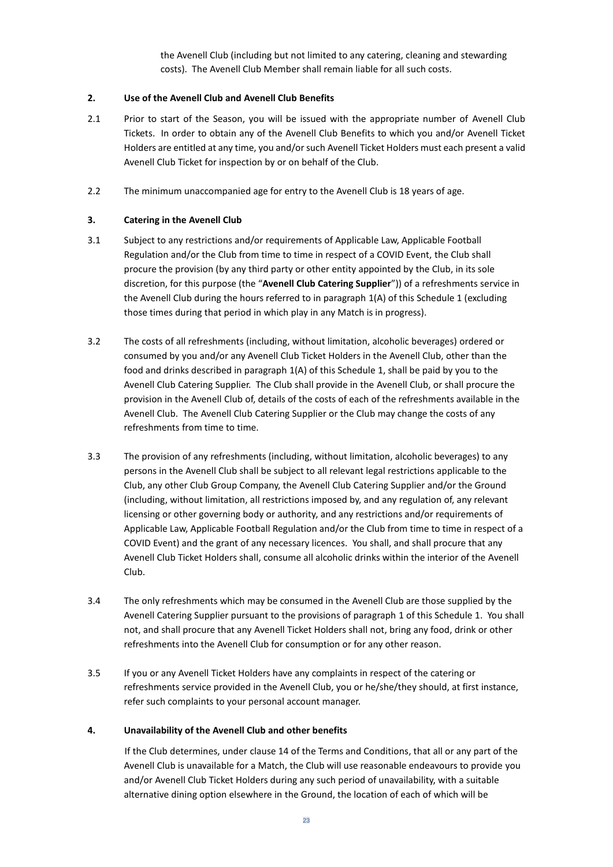the Avenell Club (including but not limited to any catering, cleaning and stewarding costs). The Avenell Club Member shall remain liable for all such costs.

# **2. Use of the Avenell Club and Avenell Club Benefits**

- 2.1 Prior to start of the Season, you will be issued with the appropriate number of Avenell Club Tickets. In order to obtain any of the Avenell Club Benefits to which you and/or Avenell Ticket Holders are entitled at any time, you and/or such Avenell Ticket Holders must each present a valid Avenell Club Ticket for inspection by or on behalf of the Club.
- 2.2 The minimum unaccompanied age for entry to the Avenell Club is 18 years of age.

# **3. Catering in the Avenell Club**

- 3.1 Subject to any restrictions and/or requirements of Applicable Law, Applicable Football Regulation and/or the Club from time to time in respect of a COVID Event, the Club shall procure the provision (by any third party or other entity appointed by the Club, in its sole discretion, for this purpose (the "**Avenell Club Catering Supplier**")) of a refreshments service in the Avenell Club during the hours referred to in paragraph 1(A) of this Schedule 1 (excluding those times during that period in which play in any Match is in progress).
- 3.2 The costs of all refreshments (including, without limitation, alcoholic beverages) ordered or consumed by you and/or any Avenell Club Ticket Holders in the Avenell Club, other than the food and drinks described in paragraph 1(A) of this Schedule 1, shall be paid by you to the Avenell Club Catering Supplier. The Club shall provide in the Avenell Club, or shall procure the provision in the Avenell Club of, details of the costs of each of the refreshments available in the Avenell Club. The Avenell Club Catering Supplier or the Club may change the costs of any refreshments from time to time.
- 3.3 The provision of any refreshments (including, without limitation, alcoholic beverages) to any persons in the Avenell Club shall be subject to all relevant legal restrictions applicable to the Club, any other Club Group Company, the Avenell Club Catering Supplier and/or the Ground (including, without limitation, all restrictions imposed by, and any regulation of, any relevant licensing or other governing body or authority, and any restrictions and/or requirements of Applicable Law, Applicable Football Regulation and/or the Club from time to time in respect of a COVID Event) and the grant of any necessary licences. You shall, and shall procure that any Avenell Club Ticket Holders shall, consume all alcoholic drinks within the interior of the Avenell Club.
- 3.4 The only refreshments which may be consumed in the Avenell Club are those supplied by the Avenell Catering Supplier pursuant to the provisions of paragraph 1 of this Schedule 1. You shall not, and shall procure that any Avenell Ticket Holders shall not, bring any food, drink or other refreshments into the Avenell Club for consumption or for any other reason.
- 3.5 If you or any Avenell Ticket Holders have any complaints in respect of the catering or refreshments service provided in the Avenell Club, you or he/she/they should, at first instance, refer such complaints to your personal account manager.

#### **4. Unavailability of the Avenell Club and other benefits**

If the Club determines, under clause 14 of the Terms and Conditions, that all or any part of the Avenell Club is unavailable for a Match, the Club will use reasonable endeavours to provide you and/or Avenell Club Ticket Holders during any such period of unavailability, with a suitable alternative dining option elsewhere in the Ground, the location of each of which will be